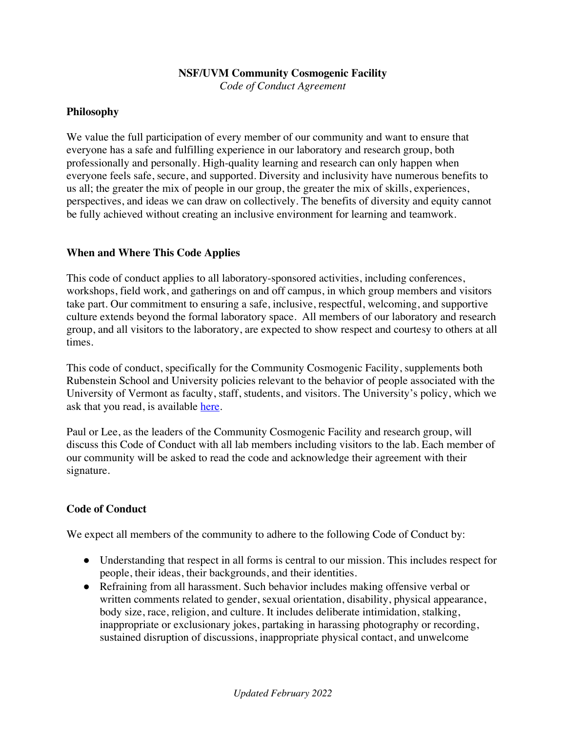### **NSF/UVM Community Cosmogenic Facility**

*Code of Conduct Agreement*

### **Philosophy**

We value the full participation of every member of our community and want to ensure that everyone has a safe and fulfilling experience in our laboratory and research group, both professionally and personally. High-quality learning and research can only happen when everyone feels safe, secure, and supported. Diversity and inclusivity have numerous benefits to us all; the greater the mix of people in our group, the greater the mix of skills, experiences, perspectives, and ideas we can draw on collectively. The benefits of diversity and equity cannot be fully achieved without creating an inclusive environment for learning and teamwork.

### **When and Where This Code Applies**

This code of conduct applies to all laboratory-sponsored activities, including conferences, workshops, field work, and gatherings on and off campus, in which group members and visitors take part. Our commitment to ensuring a safe, inclusive, respectful, welcoming, and supportive culture extends beyond the formal laboratory space. All members of our laboratory and research group, and all visitors to the laboratory, are expected to show respect and courtesy to others at all times.

This code of conduct, specifically for the Community Cosmogenic Facility, supplements both Rubenstein School and University policies relevant to the behavior of people associated with the University of Vermont as faculty, staff, students, and visitors. The University's policy, which we ask that you read, is available here.

Paul or Lee, as the leaders of the Community Cosmogenic Facility and research group, will discuss this Code of Conduct with all lab members including visitors to the lab. Each member of our community will be asked to read the code and acknowledge their agreement with their signature.

## **Code of Conduct**

We expect all members of the community to adhere to the following Code of Conduct by:

- Understanding that respect in all forms is central to our mission. This includes respect for people, their ideas, their backgrounds, and their identities.
- Refraining from all harassment. Such behavior includes making offensive verbal or written comments related to gender, sexual orientation, disability, physical appearance, body size, race, religion, and culture. It includes deliberate intimidation, stalking, inappropriate or exclusionary jokes, partaking in harassing photography or recording, sustained disruption of discussions, inappropriate physical contact, and unwelcome